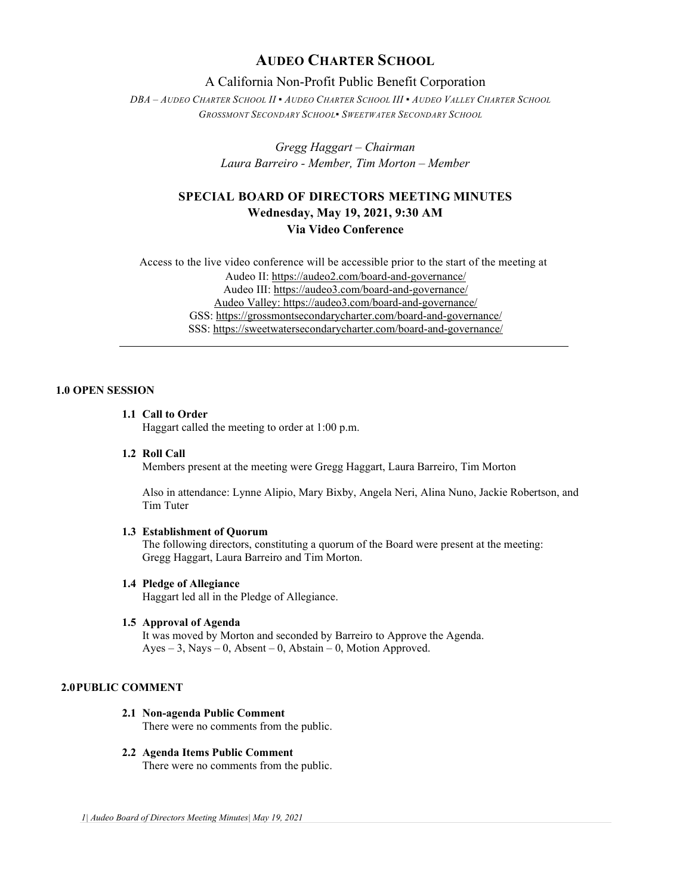# **AUDEO CHARTER SCHOOL**

# A California Non-Profit Public Benefit Corporation

*DBA – AUDEO CHARTER SCHOOL II ▪ AUDEO CHARTER SCHOOL III ▪ AUDEO VALLEY CHARTER SCHOOL GROSSMONT SECONDARY SCHOOL▪ SWEETWATER SECONDARY SCHOOL*

> *Gregg Haggart – Chairman Laura Barreiro - Member, Tim Morton – Member*

# **SPECIAL BOARD OF DIRECTORS MEETING MINUTES Wednesday, May 19, 2021, 9:30 AM Via Video Conference**

Access to the live video conference will be accessible prior to the start of the meeting at Audeo II[: https://audeo2.com/board-and-governance/](https://audeo2.com/board-and-governance/) Audeo III:<https://audeo3.com/board-and-governance/> Audeo Valley: <https://audeo3.com/board-and-governance/> GSS:<https://grossmontsecondarycharter.com/board-and-governance/> SSS:<https://sweetwatersecondarycharter.com/board-and-governance/>

# **1.0 OPEN SESSION**

## **1.1 Call to Order**

Haggart called the meeting to order at 1:00 p.m.

#### **1.2 Roll Call**

Members present at the meeting were Gregg Haggart, Laura Barreiro, Tim Morton

Also in attendance: Lynne Alipio, Mary Bixby, Angela Neri, Alina Nuno, Jackie Robertson, and Tim Tuter

#### **1.3 Establishment of Quorum**

The following directors, constituting a quorum of the Board were present at the meeting: Gregg Haggart, Laura Barreiro and Tim Morton.

# **1.4 Pledge of Allegiance**

Haggart led all in the Pledge of Allegiance.

# **1.5 Approval of Agenda**

It was moved by Morton and seconded by Barreiro to Approve the Agenda. Ayes – 3, Nays – 0, Absent – 0, Abstain – 0, Motion Approved.

# **2.0PUBLIC COMMENT**

# **2.1 Non-agenda Public Comment**

There were no comments from the public.

### **2.2 Agenda Items Public Comment**

There were no comments from the public.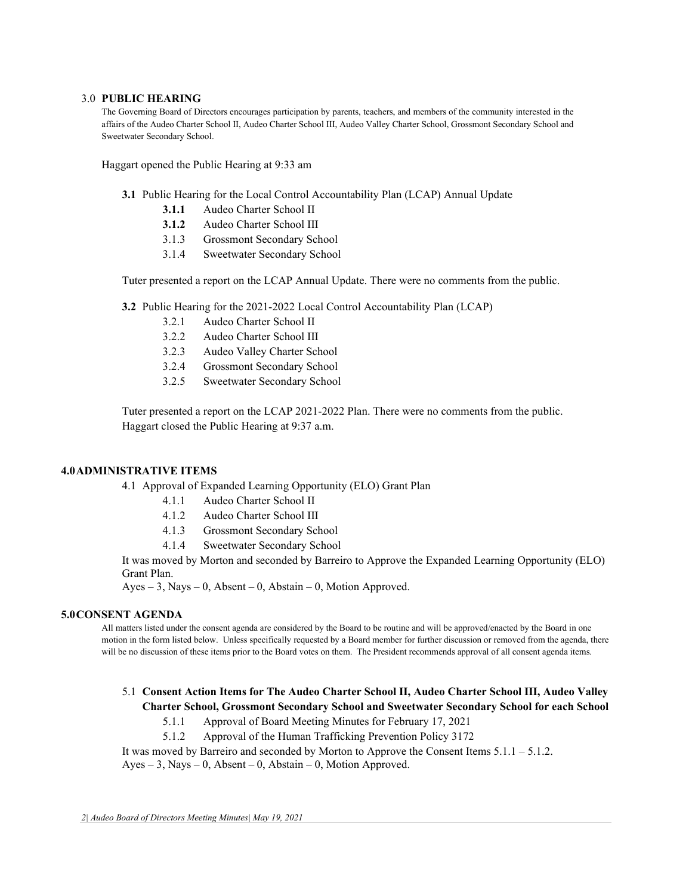#### 3.0 **PUBLIC HEARING**

The Governing Board of Directors encourages participation by parents, teachers, and members of the community interested in the affairs of the Audeo Charter School II, Audeo Charter School III, Audeo Valley Charter School, Grossmont Secondary School and Sweetwater Secondary School.

Haggart opened the Public Hearing at 9:33 am

- **3.1** Public Hearing for the Local Control Accountability Plan (LCAP) Annual Update
	- **3.1.1** Audeo Charter School II
	- **3.1.2** Audeo Charter School III
	- 3.1.3 Grossmont Secondary School
	- 3.1.4 Sweetwater Secondary School

Tuter presented a report on the LCAP Annual Update. There were no comments from the public.

**3.2** Public Hearing for the 2021-2022 Local Control Accountability Plan (LCAP)

- 3.2.1 Audeo Charter School II
- 3.2.2 Audeo Charter School III
- 3.2.3 Audeo Valley Charter School
- 3.2.4 Grossmont Secondary School
- 3.2.5 Sweetwater Secondary School

Tuter presented a report on the LCAP 2021-2022 Plan. There were no comments from the public. Haggart closed the Public Hearing at 9:37 a.m.

#### **4.0ADMINISTRATIVE ITEMS**

4.1 Approval of Expanded Learning Opportunity (ELO) Grant Plan

- 4.1.1 Audeo Charter School II
- 4.1.2 Audeo Charter School III
- 4.1.3 Grossmont Secondary School
- 4.1.4 Sweetwater Secondary School

It was moved by Morton and seconded by Barreiro to Approve the Expanded Learning Opportunity (ELO) Grant Plan.

 $Ayes - 3$ , Nays – 0, Absent – 0, Abstain – 0, Motion Approved.

#### **5.0CONSENT AGENDA**

All matters listed under the consent agenda are considered by the Board to be routine and will be approved/enacted by the Board in one motion in the form listed below. Unless specifically requested by a Board member for further discussion or removed from the agenda, there will be no discussion of these items prior to the Board votes on them. The President recommends approval of all consent agenda items.

# 5.1 **Consent Action Items for The Audeo Charter School II, Audeo Charter School III, Audeo Valley Charter School, Grossmont Secondary School and Sweetwater Secondary School for each School**

5.1.1 Approval of Board Meeting Minutes for February 17, 2021

5.1.2 Approval of the Human Trafficking Prevention Policy 3172

It was moved by Barreiro and seconded by Morton to Approve the Consent Items  $5.1.1 - 5.1.2$ .

 $Ayes - 3$ , Nays  $- 0$ , Absent  $- 0$ , Abstain  $- 0$ , Motion Approved.